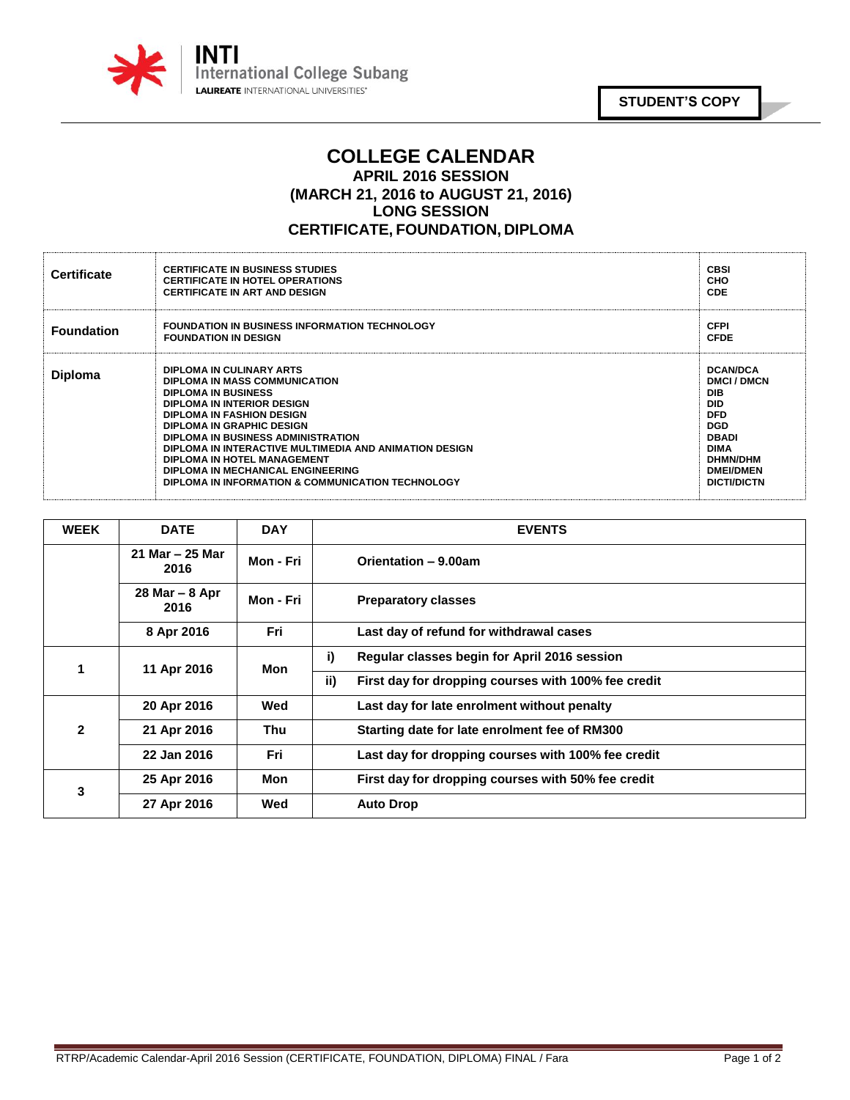

## **COLLEGE CALENDAR APRIL 2016 SESSION (MARCH 21, 2016 to AUGUST 21, 2016) LONG SESSION CERTIFICATE, FOUNDATION, DIPLOMA**

| <b>Certificate</b> | <b>CERTIFICATE IN BUSINESS STUDIES</b><br><b>CERTIFICATE IN HOTEL OPERATIONS</b><br><b>CERTIFICATE IN ART AND DESIGN</b>                                                                                                                                                                                                                                                                                               | <b>CBSI</b><br>CHO<br><b>CDE</b>                                                                                                                                                        |
|--------------------|------------------------------------------------------------------------------------------------------------------------------------------------------------------------------------------------------------------------------------------------------------------------------------------------------------------------------------------------------------------------------------------------------------------------|-----------------------------------------------------------------------------------------------------------------------------------------------------------------------------------------|
| <b>Foundation</b>  | <b>FOUNDATION IN BUSINESS INFORMATION TECHNOLOGY</b><br><b>FOUNDATION IN DESIGN</b>                                                                                                                                                                                                                                                                                                                                    | <b>CFPI</b><br><b>CFDE</b>                                                                                                                                                              |
| <b>Diploma</b>     | DIPLOMA IN CULINARY ARTS<br>DIPLOMA IN MASS COMMUNICATION<br><b>DIPLOMA IN BUSINESS</b><br>DIPLOMA IN INTERIOR DESIGN<br><b>DIPLOMA IN FASHION DESIGN</b><br><b>DIPLOMA IN GRAPHIC DESIGN</b><br>DIPLOMA IN BUSINESS ADMINISTRATION<br>DIPLOMA IN INTERACTIVE MULTIMEDIA AND ANIMATION DESIGN<br>DIPLOMA IN HOTEL MANAGEMENT<br>DIPLOMA IN MECHANICAL ENGINEERING<br>DIPLOMA IN INFORMATION & COMMUNICATION TECHNOLOGY | <b>DCAN/DCA</b><br><b>DMCI/DMCN</b><br><b>DIB</b><br><b>DID</b><br><b>DFD</b><br><b>DGD</b><br><b>DBADI</b><br><b>DIMA</b><br><b>DHMN/DHM</b><br><b>DMEI/DMEN</b><br><b>DICTI/DICTN</b> |

| <b>WEEK</b>  | <b>DATE</b>               | <b>DAY</b> | <b>EVENTS</b>                                              |
|--------------|---------------------------|------------|------------------------------------------------------------|
|              | 21 Mar $-$ 25 Mar<br>2016 | Mon - Fri  | Orientation - 9.00am                                       |
|              | $28$ Mar $-8$ Apr<br>2016 | Mon - Fri  | <b>Preparatory classes</b>                                 |
|              | 8 Apr 2016                | Fri        | Last day of refund for withdrawal cases                    |
|              | 11 Apr 2016               | Mon        | i)<br>Regular classes begin for April 2016 session         |
|              |                           |            | ii)<br>First day for dropping courses with 100% fee credit |
| $\mathbf{2}$ | 20 Apr 2016               | Wed        | Last day for late enrolment without penalty                |
|              | 21 Apr 2016               | Thu        | Starting date for late enrolment fee of RM300              |
|              | 22 Jan 2016               | Fri        | Last day for dropping courses with 100% fee credit         |
| 3            | 25 Apr 2016               | Mon        | First day for dropping courses with 50% fee credit         |
|              | 27 Apr 2016               | Wed        | <b>Auto Drop</b>                                           |